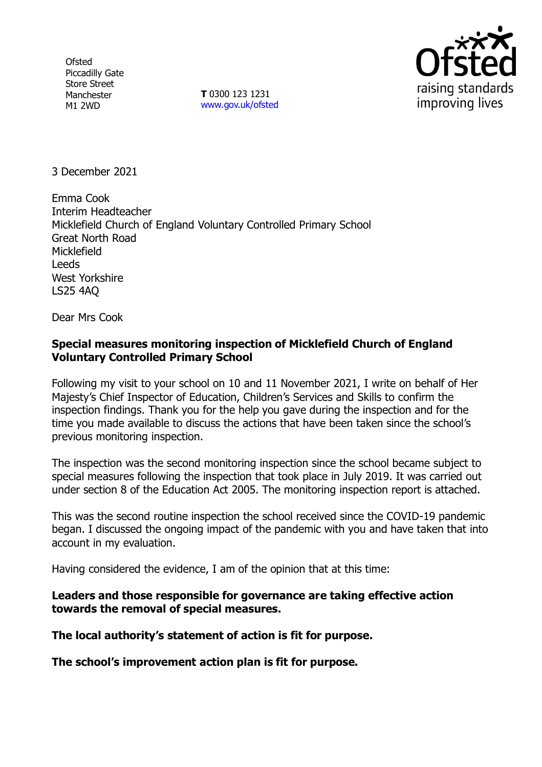**Ofsted** Piccadilly Gate Store Street Manchester M1 2WD

**T** 0300 123 1231 [www.gov.uk/ofsted](http://www.gov.uk/ofsted)



3 December 2021

Emma Cook Interim Headteacher Micklefield Church of England Voluntary Controlled Primary School Great North Road Micklefield Leeds West Yorkshire LS25 4AQ

Dear Mrs Cook

## **Special measures monitoring inspection of Micklefield Church of England Voluntary Controlled Primary School**

Following my visit to your school on 10 and 11 November 2021, I write on behalf of Her Majesty's Chief Inspector of Education, Children's Services and Skills to confirm the inspection findings. Thank you for the help you gave during the inspection and for the time you made available to discuss the actions that have been taken since the school's previous monitoring inspection.

The inspection was the second monitoring inspection since the school became subject to special measures following the inspection that took place in July 2019. It was carried out under section 8 of the Education Act 2005. The monitoring inspection report is attached.

This was the second routine inspection the school received since the COVID-19 pandemic began. I discussed the ongoing impact of the pandemic with you and have taken that into account in my evaluation.

Having considered the evidence, I am of the opinion that at this time:

**Leaders and those responsible for governance are taking effective action towards the removal of special measures.**

**The local authority's statement of action is fit for purpose.**

**The school's improvement action plan is fit for purpose.**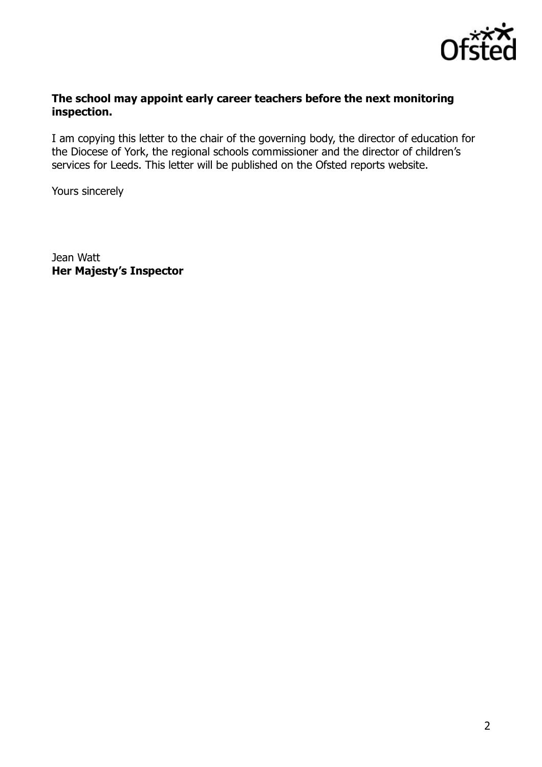

### **The school may appoint early career teachers before the next monitoring inspection.**

I am copying this letter to the chair of the governing body, the director of education for the Diocese of York, the regional schools commissioner and the director of children's services for Leeds. This letter will be published on the Ofsted reports website.

Yours sincerely

Jean Watt **Her Majesty's Inspector**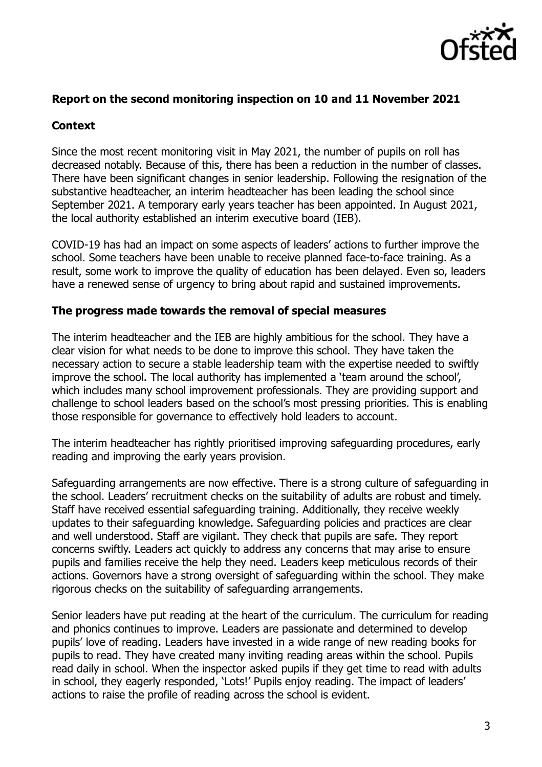

### **Report on the second monitoring inspection on 10 and 11 November 2021**

### **Context**

Since the most recent monitoring visit in May 2021, the number of pupils on roll has decreased notably. Because of this, there has been a reduction in the number of classes. There have been significant changes in senior leadership. Following the resignation of the substantive headteacher, an interim headteacher has been leading the school since September 2021. A temporary early years teacher has been appointed. In August 2021, the local authority established an interim executive board (IEB).

COVID-19 has had an impact on some aspects of leaders' actions to further improve the school. Some teachers have been unable to receive planned face-to-face training. As a result, some work to improve the quality of education has been delayed. Even so, leaders have a renewed sense of urgency to bring about rapid and sustained improvements.

#### **The progress made towards the removal of special measures**

The interim headteacher and the IEB are highly ambitious for the school. They have a clear vision for what needs to be done to improve this school. They have taken the necessary action to secure a stable leadership team with the expertise needed to swiftly improve the school. The local authority has implemented a 'team around the school', which includes many school improvement professionals. They are providing support and challenge to school leaders based on the school's most pressing priorities. This is enabling those responsible for governance to effectively hold leaders to account.

The interim headteacher has rightly prioritised improving safeguarding procedures, early reading and improving the early years provision.

Safeguarding arrangements are now effective. There is a strong culture of safeguarding in the school. Leaders' recruitment checks on the suitability of adults are robust and timely. Staff have received essential safeguarding training. Additionally, they receive weekly updates to their safeguarding knowledge. Safeguarding policies and practices are clear and well understood. Staff are vigilant. They check that pupils are safe. They report concerns swiftly. Leaders act quickly to address any concerns that may arise to ensure pupils and families receive the help they need. Leaders keep meticulous records of their actions. Governors have a strong oversight of safeguarding within the school. They make rigorous checks on the suitability of safeguarding arrangements.

Senior leaders have put reading at the heart of the curriculum. The curriculum for reading and phonics continues to improve. Leaders are passionate and determined to develop pupils' love of reading. Leaders have invested in a wide range of new reading books for pupils to read. They have created many inviting reading areas within the school. Pupils read daily in school. When the inspector asked pupils if they get time to read with adults in school, they eagerly responded, 'Lots!' Pupils enjoy reading. The impact of leaders' actions to raise the profile of reading across the school is evident.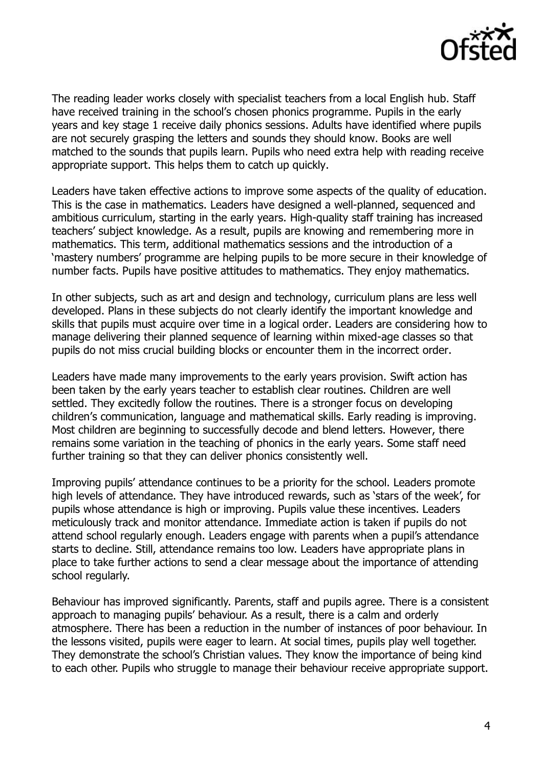

The reading leader works closely with specialist teachers from a local English hub. Staff have received training in the school's chosen phonics programme. Pupils in the early years and key stage 1 receive daily phonics sessions. Adults have identified where pupils are not securely grasping the letters and sounds they should know. Books are well matched to the sounds that pupils learn. Pupils who need extra help with reading receive appropriate support. This helps them to catch up quickly.

Leaders have taken effective actions to improve some aspects of the quality of education. This is the case in mathematics. Leaders have designed a well-planned, sequenced and ambitious curriculum, starting in the early years. High-quality staff training has increased teachers' subject knowledge. As a result, pupils are knowing and remembering more in mathematics. This term, additional mathematics sessions and the introduction of a 'mastery numbers' programme are helping pupils to be more secure in their knowledge of number facts. Pupils have positive attitudes to mathematics. They enjoy mathematics.

In other subjects, such as art and design and technology, curriculum plans are less well developed. Plans in these subjects do not clearly identify the important knowledge and skills that pupils must acquire over time in a logical order. Leaders are considering how to manage delivering their planned sequence of learning within mixed-age classes so that pupils do not miss crucial building blocks or encounter them in the incorrect order.

Leaders have made many improvements to the early years provision. Swift action has been taken by the early years teacher to establish clear routines. Children are well settled. They excitedly follow the routines. There is a stronger focus on developing children's communication, language and mathematical skills. Early reading is improving. Most children are beginning to successfully decode and blend letters. However, there remains some variation in the teaching of phonics in the early years. Some staff need further training so that they can deliver phonics consistently well.

Improving pupils' attendance continues to be a priority for the school. Leaders promote high levels of attendance. They have introduced rewards, such as 'stars of the week', for pupils whose attendance is high or improving. Pupils value these incentives. Leaders meticulously track and monitor attendance. Immediate action is taken if pupils do not attend school regularly enough. Leaders engage with parents when a pupil's attendance starts to decline. Still, attendance remains too low. Leaders have appropriate plans in place to take further actions to send a clear message about the importance of attending school regularly.

Behaviour has improved significantly. Parents, staff and pupils agree. There is a consistent approach to managing pupils' behaviour. As a result, there is a calm and orderly atmosphere. There has been a reduction in the number of instances of poor behaviour. In the lessons visited, pupils were eager to learn. At social times, pupils play well together. They demonstrate the school's Christian values. They know the importance of being kind to each other. Pupils who struggle to manage their behaviour receive appropriate support.